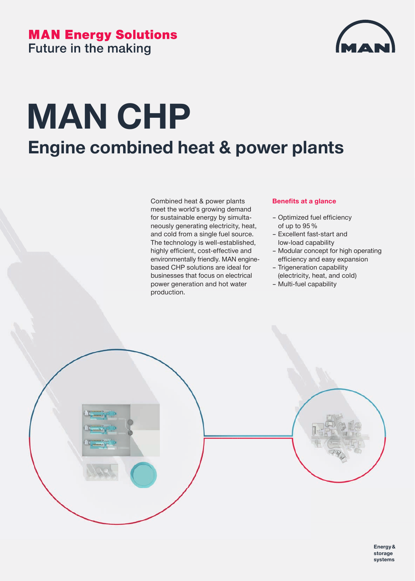### **MAN Energy Solutions Future in the making**



## **MAN CHP Engine combined heat & power plants**

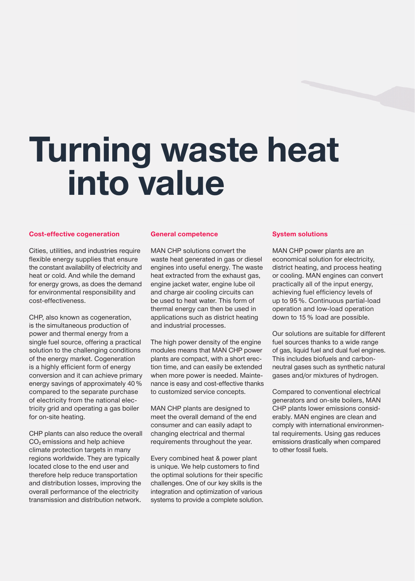# **Turning waste heat into value**

#### **Cost-effective cogeneration**

Cities, utilities, and industries require flexible energy supplies that ensure the constant availability of electricity and heat or cold. And while the demand for energy grows, as does the demand for environmental responsibility and cost-effectiveness.

CHP, also known as cogeneration, is the simultaneous production of power and thermal energy from a single fuel source, offering a practical solution to the challenging conditions of the energy market. Cogeneration is a highly efficient form of energy conversion and it can achieve primary energy savings of approximately 40 % compared to the separate purchase of electricity from the national electricity grid and operating a gas boiler for on-site heating.

CHP plants can also reduce the overall CO<sub>2</sub> emissions and help achieve climate protection targets in many regions worldwide. They are typically located close to the end user and therefore help reduce transportation and distribution losses, improving the overall performance of the electricity transmission and distribution network.

#### **General competence**

MAN CHP solutions convert the waste heat generated in gas or diesel engines into useful energy. The waste heat extracted from the exhaust gas, engine jacket water, engine lube oil and charge air cooling circuits can be used to heat water. This form of thermal energy can then be used in applications such as district heating and industrial processes.

The high power density of the engine modules means that MAN CHP power plants are compact, with a short erection time, and can easily be extended when more power is needed. Maintenance is easy and cost-effective thanks to customized service concepts.

MAN CHP plants are designed to meet the overall demand of the end consumer and can easily adapt to changing electrical and thermal requirements throughout the year.

Every combined heat & power plant is unique. We help customers to find the optimal solutions for their specific challenges. One of our key skills is the integration and optimization of various systems to provide a complete solution.

#### **System solutions**

MAN CHP power plants are an economical solution for electricity, district heating, and process heating or cooling. MAN engines can convert practically all of the input energy, achieving fuel efficiency levels of up to 95 %. Continuous partial-load operation and low-load operation down to 15 % load are possible.

Our solutions are suitable for different fuel sources thanks to a wide range of gas, liquid fuel and dual fuel engines. This includes biofuels and carbonneutral gases such as synthetic natural gases and/or mixtures of hydrogen.

Compared to conventional electrical generators and on-site boilers, MAN CHP plants lower emissions considerably. MAN engines are clean and comply with international environmental requirements. Using gas reduces emissions drastically when compared to other fossil fuels.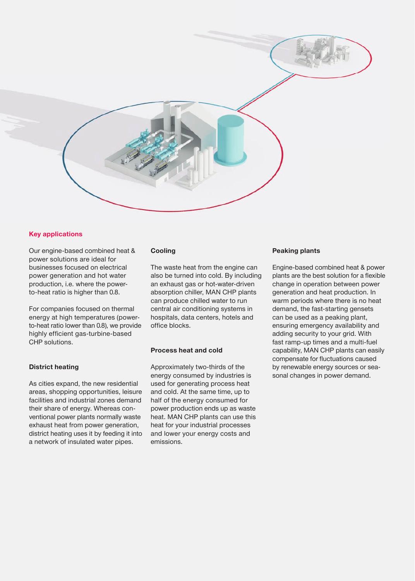

#### **Key applications**

Our engine-based combined heat & power solutions are ideal for businesses focused on electrical power generation and hot water production, i.e. where the powerto-heat ratio is higher than 0.8.

For companies focused on thermal energy at high temperatures (powerto-heat ratio lower than 0.8), we provide highly efficient gas-turbine-based CHP solutions.

#### **District heating**

As cities expand, the new residential areas, shopping opportunities, leisure facilities and industrial zones demand their share of energy. Whereas conventional power plants normally waste exhaust heat from power generation, district heating uses it by feeding it into a network of insulated water pipes.

#### **Cooling**

The waste heat from the engine can also be turned into cold. By including an exhaust gas or hot-water-driven absorption chiller, MAN CHP plants can produce chilled water to run central air conditioning systems in hospitals, data centers, hotels and office blocks.

#### **Process heat and cold**

Approximately two-thirds of the energy consumed by industries is used for generating process heat and cold. At the same time, up to half of the energy consumed for power production ends up as waste heat. MAN CHP plants can use this heat for your industrial processes and lower your energy costs and emissions.

#### **Peaking plants**

Engine-based combined heat & power plants are the best solution for a flexible change in operation between power generation and heat production. In warm periods where there is no heat demand, the fast-starting gensets can be used as a peaking plant, ensuring emergency availability and adding security to your grid. With fast ramp-up times and a multi-fuel capability, MAN CHP plants can easily compensate for fluctuations caused by renewable energy sources or seasonal changes in power demand.